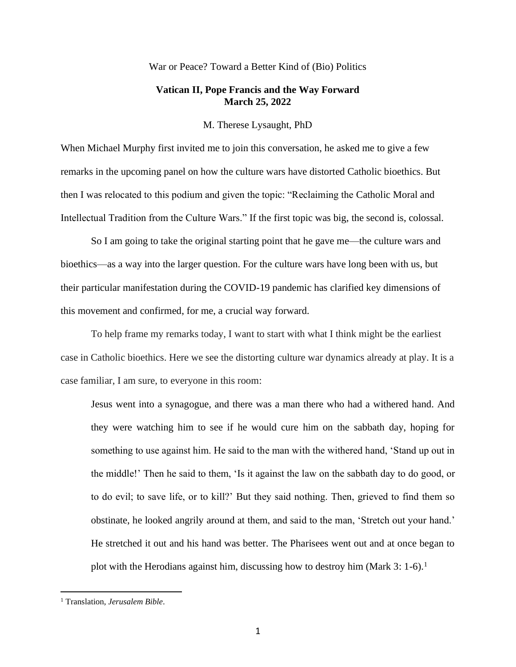## War or Peace? Toward a Better Kind of (Bio) Politics

# **Vatican II, Pope Francis and the Way Forward March 25, 2022**

M. Therese Lysaught, PhD

When Michael Murphy first invited me to join this conversation, he asked me to give a few remarks in the upcoming panel on how the culture wars have distorted Catholic bioethics. But then I was relocated to this podium and given the topic: "Reclaiming the Catholic Moral and Intellectual Tradition from the Culture Wars." If the first topic was big, the second is, colossal.

So I am going to take the original starting point that he gave me—the culture wars and bioethics—as a way into the larger question. For the culture wars have long been with us, but their particular manifestation during the COVID-19 pandemic has clarified key dimensions of this movement and confirmed, for me, a crucial way forward.

To help frame my remarks today, I want to start with what I think might be the earliest case in Catholic bioethics. Here we see the distorting culture war dynamics already at play. It is a case familiar, I am sure, to everyone in this room:

Jesus went into a synagogue, and there was a man there who had a withered hand. And they were watching him to see if he would cure him on the sabbath day, hoping for something to use against him. He said to the man with the withered hand, 'Stand up out in the middle!' Then he said to them, 'Is it against the law on the sabbath day to do good, or to do evil; to save life, or to kill?' But they said nothing. Then, grieved to find them so obstinate, he looked angrily around at them, and said to the man, 'Stretch out your hand.' He stretched it out and his hand was better. The Pharisees went out and at once began to plot with the Herodians against him, discussing how to destroy him (Mark 3: 1-6).<sup>1</sup>

<sup>1</sup> Translation, *Jerusalem Bible*.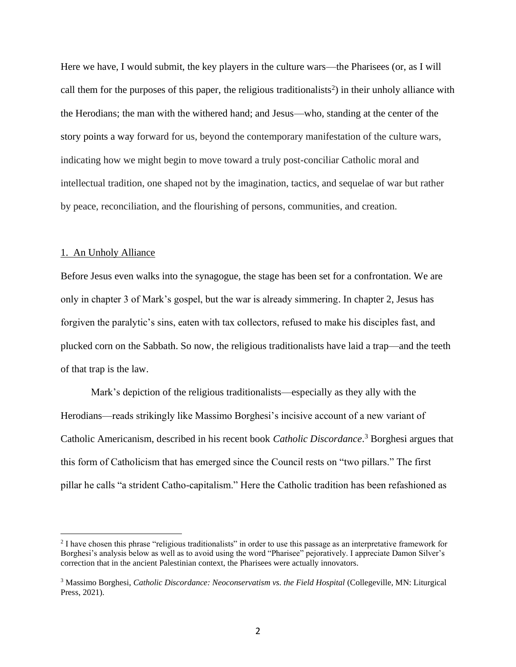Here we have, I would submit, the key players in the culture wars—the Pharisees (or, as I will call them for the purposes of this paper, the religious traditionalists<sup>2</sup>) in their unholy alliance with the Herodians; the man with the withered hand; and Jesus—who, standing at the center of the story points a way forward for us, beyond the contemporary manifestation of the culture wars, indicating how we might begin to move toward a truly post-conciliar Catholic moral and intellectual tradition, one shaped not by the imagination, tactics, and sequelae of war but rather by peace, reconciliation, and the flourishing of persons, communities, and creation.

#### 1. An Unholy Alliance

Before Jesus even walks into the synagogue, the stage has been set for a confrontation. We are only in chapter 3 of Mark's gospel, but the war is already simmering. In chapter 2, Jesus has forgiven the paralytic's sins, eaten with tax collectors, refused to make his disciples fast, and plucked corn on the Sabbath. So now, the religious traditionalists have laid a trap—and the teeth of that trap is the law.

Mark's depiction of the religious traditionalists—especially as they ally with the Herodians—reads strikingly like Massimo Borghesi's incisive account of a new variant of Catholic Americanism, described in his recent book *Catholic Discordance*. <sup>3</sup> Borghesi argues that this form of Catholicism that has emerged since the Council rests on "two pillars." The first pillar he calls "a strident Catho-capitalism." Here the Catholic tradition has been refashioned as

<sup>&</sup>lt;sup>2</sup> I have chosen this phrase "religious traditionalists" in order to use this passage as an interpretative framework for Borghesi's analysis below as well as to avoid using the word "Pharisee" pejoratively. I appreciate Damon Silver's correction that in the ancient Palestinian context, the Pharisees were actually innovators.

<sup>3</sup> Massimo Borghesi, *Catholic Discordance: Neoconservatism vs. the Field Hospital* (Collegeville, MN: Liturgical Press, 2021).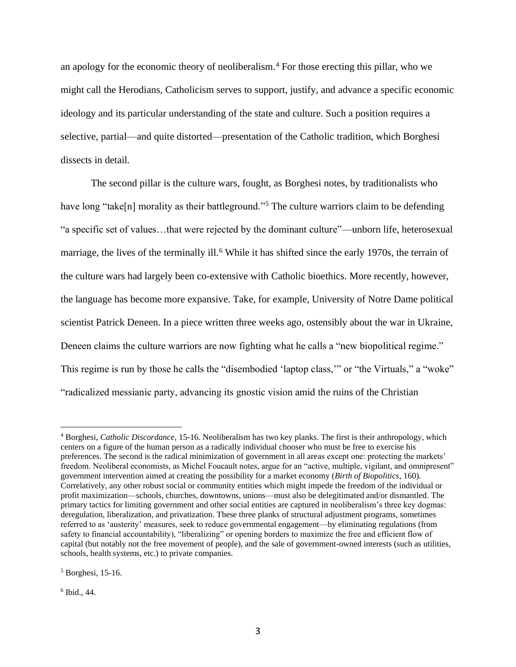an apology for the economic theory of neoliberalism.<sup>4</sup> For those erecting this pillar, who we might call the Herodians, Catholicism serves to support, justify, and advance a specific economic ideology and its particular understanding of the state and culture. Such a position requires a selective, partial—and quite distorted—presentation of the Catholic tradition, which Borghesi dissects in detail.

The second pillar is the culture wars, fought, as Borghesi notes, by traditionalists who have long "take[n] morality as their battleground."<sup>5</sup> The culture warriors claim to be defending "a specific set of values…that were rejected by the dominant culture"—unborn life, heterosexual marriage, the lives of the terminally ill.<sup>6</sup> While it has shifted since the early 1970s, the terrain of the culture wars had largely been co-extensive with Catholic bioethics. More recently, however, the language has become more expansive. Take, for example, University of Notre Dame political scientist Patrick Deneen. In a piece written three weeks ago, ostensibly about the war in Ukraine, Deneen claims the culture warriors are now fighting what he calls a "new biopolitical regime." This regime is run by those he calls the "disembodied 'laptop class," or "the Virtuals," a "woke" "radicalized messianic party, advancing its gnostic vision amid the ruins of the Christian

 $<sup>5</sup>$  Borghesi, 15-16.</sup>

6 Ibid., 44.

<sup>4</sup> Borghesi, *Catholic Discordance*, 15-16. Neoliberalism has two key planks. The first is their anthropology, which centers on a figure of the human person as a radically individual chooser who must be free to exercise his preferences. The second is the radical minimization of government in all areas except one: protecting the markets' freedom. Neoliberal economists, as Michel Foucault notes, argue for an "active, multiple, vigilant, and omnipresent" government intervention aimed at creating the possibility for a market economy (*Birth of Biopolitics*, 160). Correlatively, any other robust social or community entities which might impede the freedom of the individual or profit maximization—schools, churches, downtowns, unions—must also be delegitimated and/or dismantled. The primary tactics for limiting government and other social entities are captured in neoliberalism's three key dogmas: deregulation, liberalization, and privatization. These three planks of structural adjustment programs, sometimes referred to as 'austerity' measures, seek to reduce governmental engagement—by eliminating regulations (from safety to financial accountability), "liberalizing" or opening borders to maximize the free and efficient flow of capital (but notably not the free movement of people), and the sale of government-owned interests (such as utilities, schools, health systems, etc.) to private companies.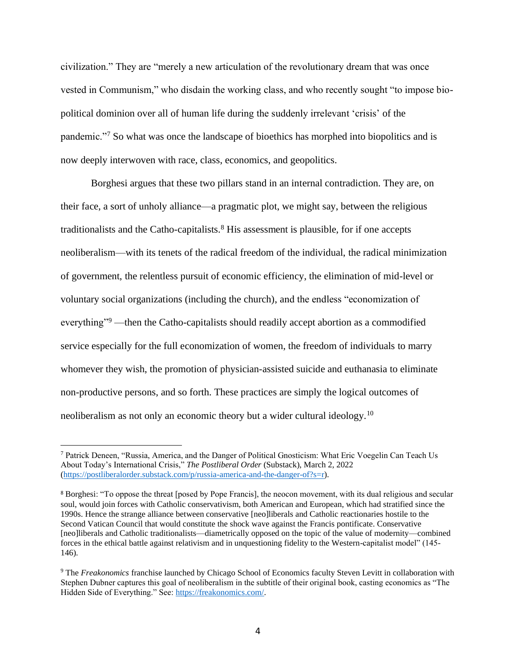civilization." They are "merely a new articulation of the revolutionary dream that was once vested in Communism," who disdain the working class, and who recently sought "to impose biopolitical dominion over all of human life during the suddenly irrelevant 'crisis' of the pandemic."<sup>7</sup> So what was once the landscape of bioethics has morphed into biopolitics and is now deeply interwoven with race, class, economics, and geopolitics.

Borghesi argues that these two pillars stand in an internal contradiction. They are, on their face, a sort of unholy alliance—a pragmatic plot, we might say, between the religious traditionalists and the Catho-capitalists. $8$  His assessment is plausible, for if one accepts neoliberalism—with its tenets of the radical freedom of the individual, the radical minimization of government, the relentless pursuit of economic efficiency, the elimination of mid-level or voluntary social organizations (including the church), and the endless "economization of everything"<sup>9</sup> —then the Catho-capitalists should readily accept abortion as a commodified service especially for the full economization of women, the freedom of individuals to marry whomever they wish, the promotion of physician-assisted suicide and euthanasia to eliminate non-productive persons, and so forth. These practices are simply the logical outcomes of neoliberalism as not only an economic theory but a wider cultural ideology.<sup>10</sup>

<sup>7</sup> Patrick Deneen, "Russia, America, and the Danger of Political Gnosticism: What Eric Voegelin Can Teach Us About Today's International Crisis," *The Postliberal Order* (Substack), March 2, 2022 [\(https://postliberalorder.substack.com/p/russia-america-and-the-danger-of?s=r\)](https://postliberalorder.substack.com/p/russia-america-and-the-danger-of?s=r).

<sup>8</sup> Borghesi: "To oppose the threat [posed by Pope Francis], the neocon movement, with its dual religious and secular soul, would join forces with Catholic conservativism, both American and European, which had stratified since the 1990s. Hence the strange alliance between conservative [neo]liberals and Catholic reactionaries hostile to the Second Vatican Council that would constitute the shock wave against the Francis pontificate. Conservative [neo]liberals and Catholic traditionalists—diametrically opposed on the topic of the value of modernity—combined forces in the ethical battle against relativism and in unquestioning fidelity to the Western-capitalist model" (145- 146).

<sup>9</sup> The *Freakonomics* franchise launched by Chicago School of Economics faculty Steven Levitt in collaboration with Stephen Dubner captures this goal of neoliberalism in the subtitle of their original book, casting economics as "The Hidden Side of Everything." See: [https://freakonomics.com/.](https://freakonomics.com/)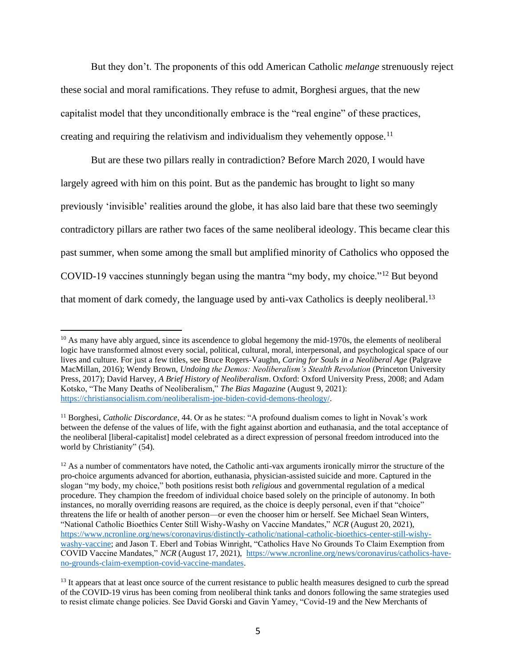But they don't. The proponents of this odd American Catholic *melange* strenuously reject these social and moral ramifications. They refuse to admit, Borghesi argues, that the new capitalist model that they unconditionally embrace is the "real engine" of these practices, creating and requiring the relativism and individualism they vehemently oppose.<sup>11</sup>

But are these two pillars really in contradiction? Before March 2020, I would have largely agreed with him on this point. But as the pandemic has brought to light so many previously 'invisible' realities around the globe, it has also laid bare that these two seemingly contradictory pillars are rather two faces of the same neoliberal ideology. This became clear this past summer, when some among the small but amplified minority of Catholics who opposed the COVID-19 vaccines stunningly began using the mantra "my body, my choice."<sup>12</sup> But beyond that moment of dark comedy, the language used by anti-vax Catholics is deeply neoliberal.<sup>13</sup>

<sup>&</sup>lt;sup>10</sup> As many have ably argued, since its ascendence to global hegemony the mid-1970s, the elements of neoliberal logic have transformed almost every social, political, cultural, moral, interpersonal, and psychological space of our lives and culture. For just a few titles, see Bruce Rogers-Vaughn, *Caring for Souls in a Neoliberal Age* (Palgrave MacMillan, 2016); Wendy Brown, *Undoing the Demos: Neoliberalism's Stealth Revolution* (Princeton University Press, 2017); David Harvey, *A Brief History of Neoliberalism*. Oxford: Oxford University Press, 2008; and Adam Kotsko, "The Many Deaths of Neoliberalism," *The Bias Magazine* (August 9, 2021): [https://christiansocialism.com/neoliberalism-joe-biden-covid-demons-theology/.](https://christiansocialism.com/neoliberalism-joe-biden-covid-demons-theology/)

<sup>&</sup>lt;sup>11</sup> Borghesi, *Catholic Discordance*, 44. Or as he states: "A profound dualism comes to light in Novak's work between the defense of the values of life, with the fight against abortion and euthanasia, and the total acceptance of the neoliberal [liberal-capitalist] model celebrated as a direct expression of personal freedom introduced into the world by Christianity" (54).

 $12$  As a number of commentators have noted, the Catholic anti-vax arguments ironically mirror the structure of the pro-choice arguments advanced for abortion, euthanasia, physician-assisted suicide and more. Captured in the slogan "my body, my choice," both positions resist both *religious* and governmental regulation of a medical procedure. They champion the freedom of individual choice based solely on the principle of autonomy. In both instances, no morally overriding reasons are required, as the choice is deeply personal, even if that "choice" threatens the life or health of another person—or even the chooser him or herself. See Michael Sean Winters, "National Catholic Bioethics Center Still Wishy-Washy on Vaccine Mandates," *NCR* (August 20, 2021), [https://www.ncronline.org/news/coronavirus/distinctly-catholic/national-catholic-bioethics-center-still-wishy](https://www.ncronline.org/news/coronavirus/distinctly-catholic/national-catholic-bioethics-center-still-wishy-washy-vaccine)[washy-vaccine;](https://www.ncronline.org/news/coronavirus/distinctly-catholic/national-catholic-bioethics-center-still-wishy-washy-vaccine) and Jason T. Eberl and Tobias Winright, "Catholics Have No Grounds To Claim Exemption from COVID Vaccine Mandates," *NCR* (August 17, 2021), [https://www.ncronline.org/news/coronavirus/catholics-have](https://www.ncronline.org/news/coronavirus/catholics-have-no-grounds-claim-exemption-covid-vaccine-mandates)[no-grounds-claim-exemption-covid-vaccine-mandates.](https://www.ncronline.org/news/coronavirus/catholics-have-no-grounds-claim-exemption-covid-vaccine-mandates)

<sup>&</sup>lt;sup>13</sup> It appears that at least once source of the current resistance to public health measures designed to curb the spread of the COVID-19 virus has been coming from neoliberal think tanks and donors following the same strategies used to resist climate change policies. See David Gorski and Gavin Yamey, "Covid-19 and the New Merchants of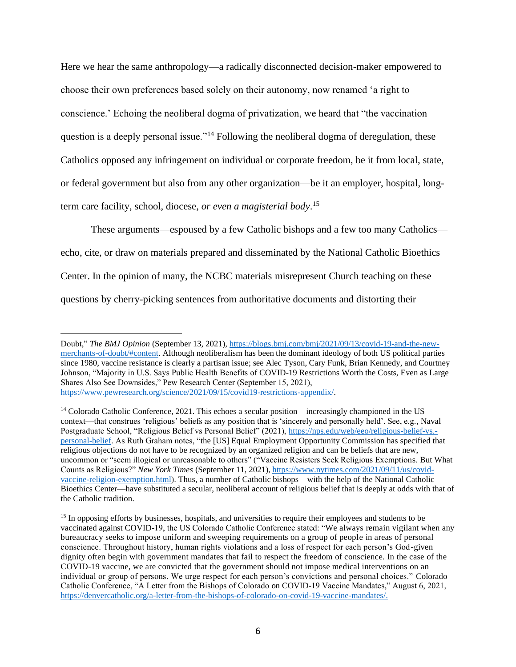Here we hear the same anthropology—a radically disconnected decision-maker empowered to choose their own preferences based solely on their autonomy, now renamed 'a right to conscience.' Echoing the neoliberal dogma of privatization, we heard that "the vaccination question is a deeply personal issue."<sup>14</sup> Following the neoliberal dogma of deregulation, these Catholics opposed any infringement on individual or corporate freedom, be it from local, state, or federal government but also from any other organization—be it an employer, hospital, longterm care facility, school, diocese, *or even a magisterial body*. 15

These arguments—espoused by a few Catholic bishops and a few too many Catholics echo, cite, or draw on materials prepared and disseminated by the National Catholic Bioethics Center. In the opinion of many, the NCBC materials misrepresent Church teaching on these questions by cherry-picking sentences from authoritative documents and distorting their

Doubt," *The BMJ Opinion* (September 13, 2021), [https://blogs.bmj.com/bmj/2021/09/13/covid-19-and-the-new](https://blogs.bmj.com/bmj/2021/09/13/covid-19-and-the-new-merchants-of-doubt/#content)[merchants-of-doubt/#content.](https://blogs.bmj.com/bmj/2021/09/13/covid-19-and-the-new-merchants-of-doubt/#content) Although neoliberalism has been the dominant ideology of both US political parties since 1980, vaccine resistance is clearly a partisan issue; see Alec Tyson, Cary Funk, Brian Kennedy, and Courtney Johnson, "Majority in U.S. Says Public Health Benefits of COVID-19 Restrictions Worth the Costs, Even as Large Shares Also See Downsides," Pew Research Center (September 15, 2021), [https://www.pewresearch.org/science/2021/09/15/covid19-restrictions-appendix/.](https://www.pewresearch.org/science/2021/09/15/covid19-restrictions-appendix/)

<sup>14</sup> Colorado Catholic Conference, 2021. This echoes a secular position—increasingly championed in the US context—that construes 'religious' beliefs as any position that is 'sincerely and personally held'. See, e.g., Naval Postgraduate School, "Religious Belief vs Personal Belief" (2021), [https://nps.edu/web/eeo/religious-belief-vs.](https://nps.edu/web/eeo/religious-belief-vs.-personal-belief) [personal-belief.](https://nps.edu/web/eeo/religious-belief-vs.-personal-belief) As Ruth Graham notes, "the [US] Equal Employment Opportunity Commission has specified that religious objections do not have to be recognized by an organized religion and can be beliefs that are new, uncommon or "seem illogical or unreasonable to others" ("Vaccine Resisters Seek Religious Exemptions. But What Counts as Religious?" *New York Times* (September 11, 2021)[, https://www.nytimes.com/2021/09/11/us/covid](https://www.nytimes.com/2021/09/11/us/covid-vaccine-religion-exemption.html)[vaccine-religion-exemption.html\)](https://www.nytimes.com/2021/09/11/us/covid-vaccine-religion-exemption.html). Thus, a number of Catholic bishops—with the help of the National Catholic Bioethics Center—have substituted a secular, neoliberal account of religious belief that is deeply at odds with that of the Catholic tradition.

<sup>&</sup>lt;sup>15</sup> In opposing efforts by businesses, hospitals, and universities to require their employees and students to be vaccinated against COVID-19, the US Colorado Catholic Conference stated: "We always remain vigilant when any bureaucracy seeks to impose uniform and sweeping requirements on a group of people in areas of personal conscience. Throughout history, human rights violations and a loss of respect for each person's God-given dignity often begin with government mandates that fail to respect the freedom of conscience. In the case of the COVID-19 vaccine, we are convicted that the government should not impose medical interventions on an individual or group of persons. We urge respect for each person's convictions and personal choices." Colorado Catholic Conference, "A Letter from the Bishops of Colorado on COVID-19 Vaccine Mandates," August 6, 2021, [https://denvercatholic.org/a-letter-from-the-bishops-of-colorado-on-covid-19-vaccine-mandates/.](https://denvercatholic.org/a-letter-from-the-bishops-of-colorado-on-covid-19-vaccine-mandates/)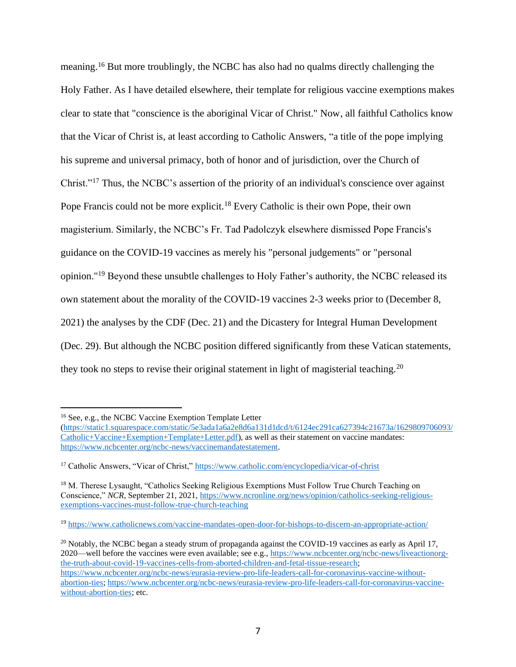meaning.<sup>16</sup> But more troublingly, the NCBC has also had no qualms directly challenging the Holy Father. As I have detailed elsewhere, their template for religious vaccine exemptions makes clear to state that "conscience is the aboriginal Vicar of Christ." Now, all faithful Catholics know that the Vicar of Christ is, at least according to Catholic Answers, "a title of the pope implying his supreme and universal primacy, both of honor and of jurisdiction, over the [Church](https://www.catholic.com/encyclopedia/church-the) of Christ."<sup>17</sup> Thus, the NCBC's assertion of the priority of an individual's conscience over against Pope Francis could not be more explicit.<sup>18</sup> Every Catholic is their own Pope, their own magisterium. Similarly, the NCBC's Fr. Tad Padolczyk elsewhere dismissed Pope Francis's guidance on the COVID-19 vaccines as merely his "personal judgements" or "personal opinion."<sup>19</sup> Beyond these unsubtle challenges to Holy Father's authority, the NCBC released its own statement about the morality of the COVID-19 vaccines 2-3 weeks prior to (December 8, 2021) the analyses by the CDF (Dec. 21) and the Dicastery for Integral Human Development (Dec. 29). But although the NCBC position differed significantly from these Vatican statements, they took no steps to revise their original statement in light of magisterial teaching.<sup>20</sup>

<sup>16</sup> See, e.g., the NCBC Vaccine Exemption Template Letter

[<sup>\(</sup>https://static1.squarespace.com/static/5e3ada1a6a2e8d6a131d1dcd/t/6124ec291ca627394c21673a/1629809706093/](https://static1.squarespace.com/static/5e3ada1a6a2e8d6a131d1dcd/t/6124ec291ca627394c21673a/1629809706093/Catholic+Vaccine+Exemption+Template+Letter.pdf) [Catholic+Vaccine+Exemption+Template+Letter.pdf\)](https://static1.squarespace.com/static/5e3ada1a6a2e8d6a131d1dcd/t/6124ec291ca627394c21673a/1629809706093/Catholic+Vaccine+Exemption+Template+Letter.pdf), as well as their statement on vaccine mandates: [https://www.ncbcenter.org/ncbc-news/vaccinemandatestatement.](https://www.ncbcenter.org/ncbc-news/vaccinemandatestatement)

<sup>&</sup>lt;sup>17</sup> Catholic Answers, "Vicar of Christ," <https://www.catholic.com/encyclopedia/vicar-of-christ>

<sup>&</sup>lt;sup>18</sup> M. Therese Lysaught, "Catholics Seeking Religious Exemptions Must Follow True Church Teaching on Conscience," *NCR*, September 21, 2021, [https://www.ncronline.org/news/opinion/catholics-seeking-religious](https://www.ncronline.org/news/opinion/catholics-seeking-religious-exemptions-vaccines-must-follow-true-church-teaching)[exemptions-vaccines-must-follow-true-church-teaching](https://www.ncronline.org/news/opinion/catholics-seeking-religious-exemptions-vaccines-must-follow-true-church-teaching)

<sup>19</sup> <https://www.catholicnews.com/vaccine-mandates-open-door-for-bishops-to-discern-an-appropriate-action/>

<sup>&</sup>lt;sup>20</sup> Notably, the NCBC began a steady strum of propaganda against the COVID-19 vaccines as early as April 17, 2020—well before the vaccines were even available; see e.g., [https://www.ncbcenter.org/ncbc-news/liveactionorg](https://www.ncbcenter.org/ncbc-news/liveactionorg-the-truth-about-covid-19-vaccines-cells-from-aborted-children-and-fetal-tissue-research)[the-truth-about-covid-19-vaccines-cells-from-aborted-children-and-fetal-tissue-research;](https://www.ncbcenter.org/ncbc-news/liveactionorg-the-truth-about-covid-19-vaccines-cells-from-aborted-children-and-fetal-tissue-research) [https://www.ncbcenter.org/ncbc-news/eurasia-review-pro-life-leaders-call-for-coronavirus-vaccine-without](https://www.ncbcenter.org/ncbc-news/eurasia-review-pro-life-leaders-call-for-coronavirus-vaccine-without-abortion-ties)[abortion-ties; https://www.ncbcenter.org/ncbc-news/eurasia-review-pro-life-leaders-call-for-coronavirus-vaccine](https://www.ncbcenter.org/ncbc-news/eurasia-review-pro-life-leaders-call-for-coronavirus-vaccine-without-abortion-ties)[without-abortion-ties;](https://www.ncbcenter.org/ncbc-news/eurasia-review-pro-life-leaders-call-for-coronavirus-vaccine-without-abortion-ties) etc.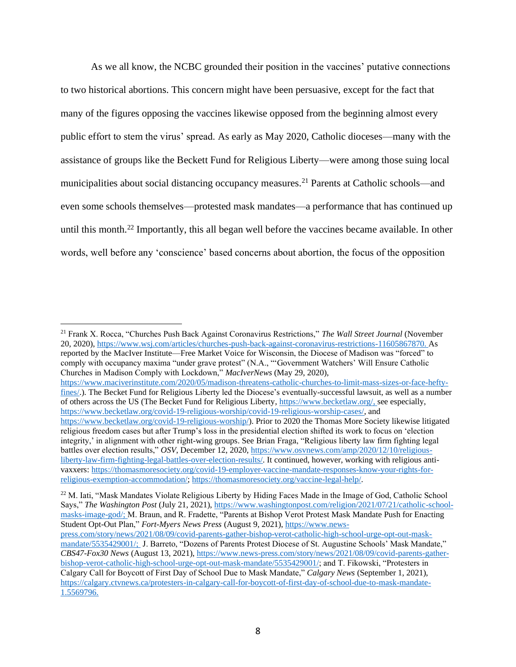As we all know, the NCBC grounded their position in the vaccines' putative connections to two historical abortions. This concern might have been persuasive, except for the fact that many of the figures opposing the vaccines likewise opposed from the beginning almost every public effort to stem the virus' spread. As early as May 2020, Catholic dioceses—many with the assistance of groups like the Beckett Fund for Religious Liberty—were among those suing local municipalities about social distancing occupancy measures.<sup>21</sup> Parents at Catholic schools—and even some schools themselves—protested mask mandates—a performance that has continued up until this month.<sup>22</sup> Importantly, this all began well before the vaccines became available. In other words, well before any 'conscience' based concerns about abortion, the focus of the opposition

[https://www.maciverinstitute.com/2020/05/madison-threatens-catholic-churches-to-limit-mass-sizes-or-face-hefty](https://www.maciverinstitute.com/2020/05/madison-threatens-catholic-churches-to-limit-mass-sizes-or-face-hefty-fines/)[fines/.](https://www.maciverinstitute.com/2020/05/madison-threatens-catholic-churches-to-limit-mass-sizes-or-face-hefty-fines/)). The Becket Fund for Religious Liberty led the Diocese's eventually-successful lawsuit, as well as a number of others across the US (The Becket Fund for Religious Liberty, [https://www.becketlaw.org/,](https://www.becketlaw.org/) see especially, [https://www.becketlaw.org/covid-19-religious-worship/covid-19-religious-worship-cases/,](https://www.becketlaw.org/covid-19-religious-worship/covid-19-religious-worship-cases/) and [https://www.becketlaw.org/covid-19-religious-worship/\)](https://www.becketlaw.org/covid-19-religious-worship/). Prior to 2020 the Thomas More Society likewise litigated religious freedom cases but after Trump's loss in the presidential election shifted its work to focus on 'election integrity,' in alignment with other right-wing groups. See Brian Fraga, "Religious liberty law firm fighting legal battles over election results," *OSV*, December 12, 2020, [https://www.osvnews.com/amp/2020/12/10/religious](https://www.osvnews.com/amp/2020/12/10/religious-liberty-law-firm-fighting-legal-battles-over-election-results/)[liberty-law-firm-fighting-legal-battles-over-election-results/.](https://www.osvnews.com/amp/2020/12/10/religious-liberty-law-firm-fighting-legal-battles-over-election-results/) It continued, however, working with religious antivaxxers[: https://thomasmoresociety.org/covid-19-employer-vaccine-mandate-responses-know-your-rights-for](https://thomasmoresociety.org/covid-19-employer-vaccine-mandate-responses-know-your-rights-for-religious-exemption-accommodation/)[religious-exemption-accommodation/;](https://thomasmoresociety.org/covid-19-employer-vaccine-mandate-responses-know-your-rights-for-religious-exemption-accommodation/) [https://thomasmoresociety.org/vaccine-legal-help/.](https://thomasmoresociety.org/vaccine-legal-help/)

<sup>22</sup> M. Iati, "Mask Mandates Violate Religious Liberty by Hiding Faces Made in the Image of God, Catholic School Says," *The Washington Post* (July 21, 2021), [https://www.washingtonpost.com/religion/2021/07/21/catholic-school](https://www.washingtonpost.com/religion/2021/07/21/catholic-school-masks-image-god/)[masks-image-god/;](https://www.washingtonpost.com/religion/2021/07/21/catholic-school-masks-image-god/) M. Braun, and R. Fradette, "Parents at Bishop Verot Protest Mask Mandate Push for Enacting Student Opt-Out Plan," *Fort-Myers News Press* (August 9, 2021)[, https://www.news](https://www.news-press.com/story/news/2021/08/09/covid-parents-gather-bishop-verot-catholic-high-school-urge-opt-out-mask-mandate/5535429001/)[press.com/story/news/2021/08/09/covid-parents-gather-bishop-verot-catholic-high-school-urge-opt-out-mask](https://www.news-press.com/story/news/2021/08/09/covid-parents-gather-bishop-verot-catholic-high-school-urge-opt-out-mask-mandate/5535429001/)[mandate/5535429001/;](https://www.news-press.com/story/news/2021/08/09/covid-parents-gather-bishop-verot-catholic-high-school-urge-opt-out-mask-mandate/5535429001/) J. Barreto, "Dozens of Parents Protest Diocese of St. Augustine Schools' Mask Mandate," *CBS47-Fox30 News* (August 13, 2021)[, https://www.news-press.com/story/news/2021/08/09/covid-parents-gather](https://www.news-press.com/story/news/2021/08/09/covid-parents-gather-bishop-verot-catholic-high-school-urge-opt-out-mask-mandate/5535429001/)[bishop-verot-catholic-high-school-urge-opt-out-mask-mandate/5535429001/;](https://www.news-press.com/story/news/2021/08/09/covid-parents-gather-bishop-verot-catholic-high-school-urge-opt-out-mask-mandate/5535429001/) and T. Fikowski, "Protesters in Calgary Call for Boycott of First Day of School Due to Mask Mandate," *Calgary News* (September 1, 2021), [https://calgary.ctvnews.ca/protesters-in-calgary-call-for-boycott-of-first-day-of-school-due-to-mask-mandate-](https://calgary.ctvnews.ca/protesters-in-calgary-call-for-boycott-of-first-day-of-school-due-to-mask-mandate-1.5569796)

<sup>21</sup> Frank X. Rocca, "Churches Push Back Against Coronavirus Restrictions," *The Wall Street Journal* (November 20, 2020), [https://www.wsj.com/articles/churches-push-back-against-coronavirus-restrictions-11605867870.](https://www.wsj.com/articles/churches-push-back-against-coronavirus-restrictions-11605867870) As reported by the MacIver Institute—Free Market Voice for Wisconsin, the Diocese of Madison was "forced" to comply with occupancy maxima "under grave protest" (N.A., "'Government Watchers' Will Ensure Catholic Churches in Madison Comply with Lockdown," *MacIverNews* (May 29, 2020),

[<sup>1.5569796.</sup>](https://calgary.ctvnews.ca/protesters-in-calgary-call-for-boycott-of-first-day-of-school-due-to-mask-mandate-1.5569796)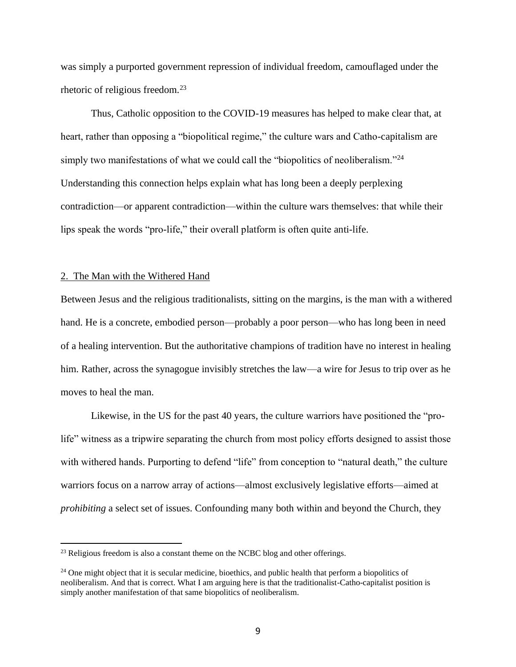was simply a purported government repression of individual freedom, camouflaged under the rhetoric of religious freedom.<sup>23</sup>

Thus, Catholic opposition to the COVID-19 measures has helped to make clear that, at heart, rather than opposing a "biopolitical regime," the culture wars and Catho-capitalism are simply two manifestations of what we could call the "biopolitics of neoliberalism."<sup>24</sup> Understanding this connection helps explain what has long been a deeply perplexing contradiction—or apparent contradiction—within the culture wars themselves: that while their lips speak the words "pro-life," their overall platform is often quite anti-life.

#### 2. The Man with the Withered Hand

Between Jesus and the religious traditionalists, sitting on the margins, is the man with a withered hand. He is a concrete, embodied person—probably a poor person—who has long been in need of a healing intervention. But the authoritative champions of tradition have no interest in healing him. Rather, across the synagogue invisibly stretches the law—a wire for Jesus to trip over as he moves to heal the man.

Likewise, in the US for the past 40 years, the culture warriors have positioned the "prolife" witness as a tripwire separating the church from most policy efforts designed to assist those with withered hands. Purporting to defend "life" from conception to "natural death," the culture warriors focus on a narrow array of actions—almost exclusively legislative efforts—aimed at *prohibiting* a select set of issues. Confounding many both within and beyond the Church, they

<sup>&</sup>lt;sup>23</sup> Religious freedom is also a constant theme on the NCBC blog and other offerings.

 $24$  One might object that it is secular medicine, bioethics, and public health that perform a biopolitics of neoliberalism. And that is correct. What I am arguing here is that the traditionalist-Catho-capitalist position is simply another manifestation of that same biopolitics of neoliberalism.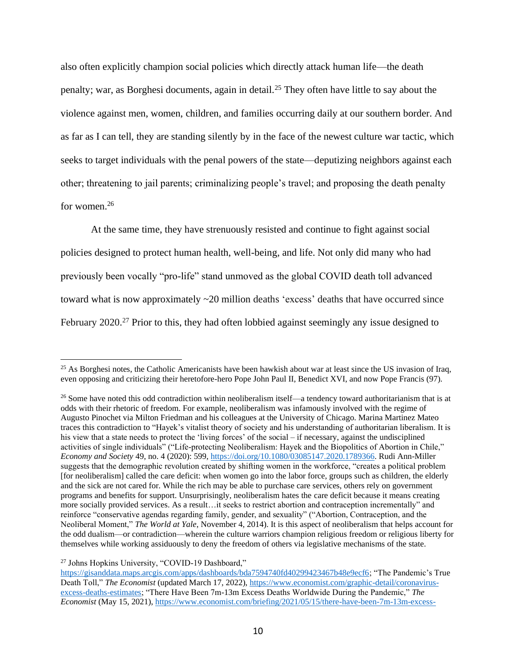also often explicitly champion social policies which directly attack human life—the death penalty; war, as Borghesi documents, again in detail.<sup>25</sup> They often have little to say about the violence against men, women, children, and families occurring daily at our southern border. And as far as I can tell, they are standing silently by in the face of the newest culture war tactic, which seeks to target individuals with the penal powers of the state—deputizing neighbors against each other; threatening to jail parents; criminalizing people's travel; and proposing the death penalty for women.<sup>26</sup>

At the same time, they have strenuously resisted and continue to fight against social policies designed to protect human health, well-being, and life. Not only did many who had previously been vocally "pro-life" stand unmoved as the global COVID death toll advanced toward what is now approximately ~20 million deaths 'excess' deaths that have occurred since February 2020.<sup>27</sup> Prior to this, they had often lobbied against seemingly any issue designed to

<sup>27</sup> Johns Hopkins University, "COVID-19 Dashboard,"

<sup>&</sup>lt;sup>25</sup> As Borghesi notes, the Catholic Americanists have been hawkish about war at least since the US invasion of Iraq, even opposing and criticizing their heretofore-hero Pope John Paul II, Benedict XVI, and now Pope Francis (97).

<sup>&</sup>lt;sup>26</sup> Some have noted this odd contradiction within neoliberalism itself—a tendency toward authoritarianism that is at odds with their rhetoric of freedom. For example, neoliberalism was infamously involved with the regime of Augusto Pinochet via Milton Friedman and his colleagues at the University of Chicago. Marina Martinez Mateo traces this contradiction to "Hayek's vitalist theory of society and his understanding of authoritarian liberalism. It is his view that a state needs to protect the 'living forces' of the social – if necessary, against the undisciplined activities of single individuals" ("Life-protecting Neoliberalism: Hayek and the Biopolitics of Abortion in Chile," *Economy and Society* 49, no. 4 (2020): 599, [https://doi.org/10.1080/03085147.2020.1789366.](https://doi.org/10.1080/03085147.2020.1789366) Rudi Ann-Miller suggests that the demographic revolution created by shifting women in the workforce, "creates a political problem [for neoliberalism] called the care deficit: when women go into the labor force, groups such as children, the elderly and the sick are not cared for. While the rich may be able to purchase care services, others rely on government programs and benefits for support. Unsurprisingly, neoliberalism hates the care deficit because it means creating more socially provided services. As a result…it seeks to restrict abortion and contraception incrementally" and reinforce "conservative agendas regarding family, gender, and sexuality" ("Abortion, Contraception, and the Neoliberal Moment," *The World at Yale*, November 4, 2014). It is this aspect of neoliberalism that helps account for the odd dualism—or contradiction—wherein the culture warriors champion religious freedom or religious liberty for themselves while working assiduously to deny the freedom of others via legislative mechanisms of the state.

[https://gisanddata.maps.arcgis.com/apps/dashboards/bda7594740fd40299423467b48e9ecf6;](https://gisanddata.maps.arcgis.com/apps/dashboards/bda7594740fd40299423467b48e9ecf6) "The Pandemic's True Death Toll," *The Economist* (updated March 17, 2022), [https://www.economist.com/graphic-detail/coronavirus](https://www.economist.com/graphic-detail/coronavirus-excess-deaths-estimates)[excess-deaths-estimates;](https://www.economist.com/graphic-detail/coronavirus-excess-deaths-estimates) "There Have Been 7m-13m Excess Deaths Worldwide During the Pandemic," *The Economist* (May 15, 2021), [https://www.economist.com/briefing/2021/05/15/there-have-been-7m-13m-excess-](https://www.economist.com/briefing/2021/05/15/there-have-been-7m-13m-excess-deaths-worldwide-during-the-pandemic)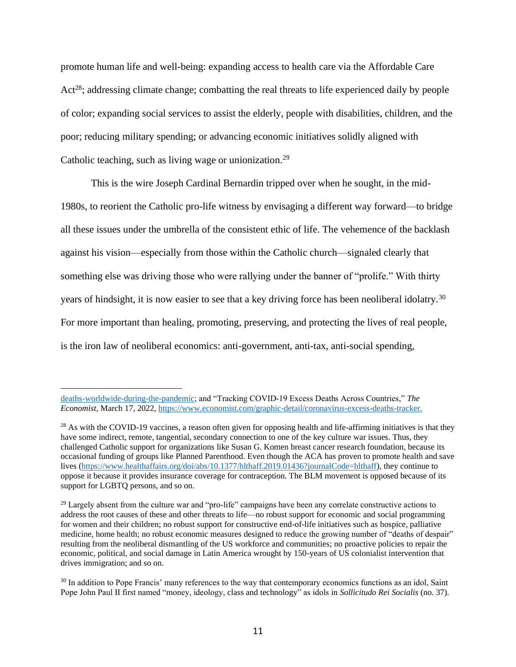promote human life and well-being: expanding access to health care via the Affordable Care Act<sup>28</sup>; addressing climate change; combatting the real threats to life experienced daily by people of color; expanding social services to assist the elderly, people with disabilities, children, and the poor; reducing military spending; or advancing economic initiatives solidly aligned with Catholic teaching, such as living wage or unionization.<sup>29</sup>

This is the wire Joseph Cardinal Bernardin tripped over when he sought, in the mid-1980s, to reorient the Catholic pro-life witness by envisaging a different way forward—to bridge all these issues under the umbrella of the consistent ethic of life. The vehemence of the backlash against his vision—especially from those within the Catholic church—signaled clearly that something else was driving those who were rallying under the banner of "prolife." With thirty years of hindsight, it is now easier to see that a key driving force has been neoliberal idolatry.<sup>30</sup> For more important than healing, promoting, preserving, and protecting the lives of real people, is the iron law of neoliberal economics: anti-government, anti-tax, anti-social spending,

[deaths-worldwide-during-the-pandemic;](https://www.economist.com/briefing/2021/05/15/there-have-been-7m-13m-excess-deaths-worldwide-during-the-pandemic) and "Tracking COVID-19 Excess Deaths Across Countries," *The Economist*, March 17, 2022, [https://www.economist.com/graphic-detail/coronavirus-excess-deaths-tracker.](https://www.economist.com/graphic-detail/coronavirus-excess-deaths-tracker)

 $28$  As with the COVID-19 vaccines, a reason often given for opposing health and life-affirming initiatives is that they have some indirect, remote, tangential, secondary connection to one of the key culture war issues. Thus, they challenged Catholic support for organizations like Susan G. Komen breast cancer research foundation, because its occasional funding of groups like Planned Parenthood. Even though the ACA has proven to promote health and save lives [\(https://www.healthaffairs.org/doi/abs/10.1377/hlthaff.2019.01436?journalCode=hlthaff\)](https://www.healthaffairs.org/doi/abs/10.1377/hlthaff.2019.01436?journalCode=hlthaff), they continue to oppose it because it provides insurance coverage for contraception. The BLM movement is opposed because of its support for LGBTQ persons, and so on.

<sup>&</sup>lt;sup>29</sup> Largely absent from the culture war and "pro-life" campaigns have been any correlate constructive actions to address the root causes of these and other threats to life—no robust support for economic and social programming for women and their children; no robust support for constructive end-of-life initiatives such as hospice, palliative medicine, home health; no robust economic measures designed to reduce the growing number of "deaths of despair" resulting from the neoliberal dismantling of the US workforce and communities; no proactive policies to repair the economic, political, and social damage in Latin America wrought by 150-years of US colonialist intervention that drives immigration; and so on.

<sup>&</sup>lt;sup>30</sup> In addition to Pope Francis' many references to the way that contemporary economics functions as an idol, Saint Pope John Paul II first named "money, ideology, class and technology" as idols in *Sollicitudo Rei Socialis* (no. 37).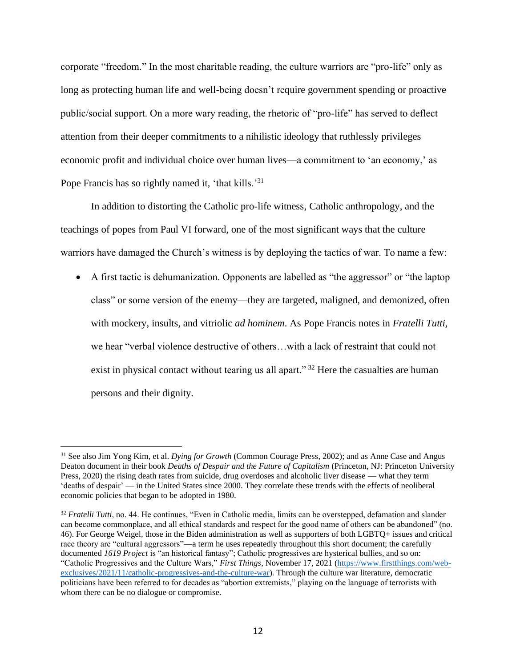corporate "freedom." In the most charitable reading, the culture warriors are "pro-life" only as long as protecting human life and well-being doesn't require government spending or proactive public/social support. On a more wary reading, the rhetoric of "pro-life" has served to deflect attention from their deeper commitments to a nihilistic ideology that ruthlessly privileges economic profit and individual choice over human lives—a commitment to 'an economy,' as Pope Francis has so rightly named it, 'that kills.'<sup>31</sup>

In addition to distorting the Catholic pro-life witness, Catholic anthropology, and the teachings of popes from Paul VI forward, one of the most significant ways that the culture warriors have damaged the Church's witness is by deploying the tactics of war. To name a few:

• A first tactic is dehumanization. Opponents are labelled as "the aggressor" or "the laptop class" or some version of the enemy—they are targeted, maligned, and demonized, often with mockery, insults, and vitriolic *ad hominem*. As Pope Francis notes in *Fratelli Tutti*, we hear "verbal violence destructive of others…with a lack of restraint that could not exist in physical contact without tearing us all apart."<sup>32</sup> Here the casualties are human persons and their dignity.

<sup>31</sup> See also Jim Yong Kim, et al. *Dying for Growth* (Common Courage Press, 2002); and as Anne Case and Angus Deaton document in their book *Deaths of Despair and the Future of Capitalism* (Princeton, NJ: Princeton University Press, 2020) the rising death rates from suicide, drug overdoses and alcoholic liver disease — what they term 'deaths of despair' — in the United States since 2000. They correlate these trends with the effects of neoliberal economic policies that began to be adopted in 1980.

<sup>&</sup>lt;sup>32</sup> *Fratelli Tutti*, no. 44. He continues, "Even in Catholic media, limits can be overstepped, defamation and slander can become commonplace, and all ethical standards and respect for the good name of others can be abandoned" (no. 46). For George Weigel, those in the Biden administration as well as supporters of both LGBTQ+ issues and critical race theory are "cultural aggressors"—a term he uses repeatedly throughout this short document; the carefully documented *1619 Project* is "an historical fantasy"; Catholic progressives are hysterical bullies, and so on: "Catholic Progressives and the Culture Wars," *First Things*, November 17, 2021 [\(https://www.firstthings.com/web](https://www.firstthings.com/web-exclusives/2021/11/catholic-progressives-and-the-culture-war)[exclusives/2021/11/catholic-progressives-and-the-culture-war\)](https://www.firstthings.com/web-exclusives/2021/11/catholic-progressives-and-the-culture-war). Through the culture war literature, democratic politicians have been referred to for decades as "abortion extremists," playing on the language of terrorists with whom there can be no dialogue or compromise.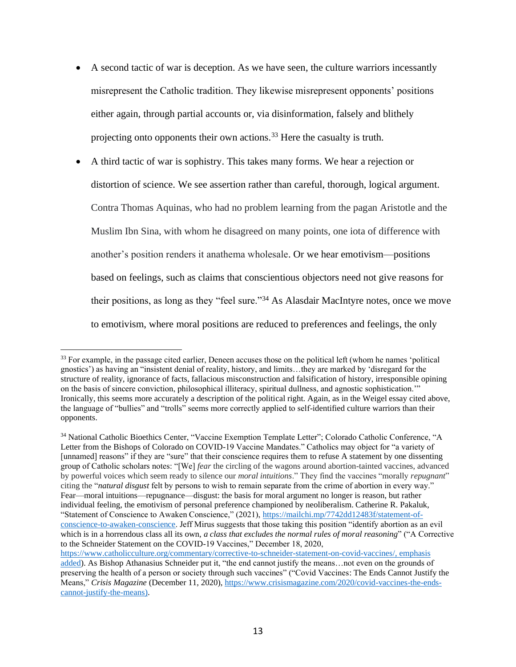- A second tactic of war is deception. As we have seen, the culture warriors incessantly misrepresent the Catholic tradition. They likewise misrepresent opponents' positions either again, through partial accounts or, via disinformation, falsely and blithely projecting onto opponents their own actions.<sup>33</sup> Here the casualty is truth.
- A third tactic of war is sophistry. This takes many forms. We hear a rejection or distortion of science. We see assertion rather than careful, thorough, logical argument. Contra Thomas Aquinas, who had no problem learning from the pagan Aristotle and the Muslim Ibn Sina, with whom he disagreed on many points, one iota of difference with another's position renders it anathema wholesale. Or we hear emotivism—positions based on feelings, such as claims that conscientious objectors need not give reasons for their positions, as long as they "feel sure."<sup>34</sup> As Alasdair MacIntyre notes, once we move to emotivism, where moral positions are reduced to preferences and feelings, the only

<sup>&</sup>lt;sup>33</sup> For example, in the passage cited earlier, Deneen accuses those on the political left (whom he names 'political gnostics') as having an "insistent denial of reality, history, and limits…they are marked by 'disregard for the structure of reality, ignorance of facts, fallacious misconstruction and falsification of history, irresponsible opining on the basis of sincere conviction, philosophical illiteracy, spiritual dullness, and agnostic sophistication.'" Ironically, this seems more accurately a description of the political right. Again, as in the Weigel essay cited above, the language of "bullies" and "trolls" seems more correctly applied to self-identified culture warriors than their opponents.

<sup>34</sup> National Catholic Bioethics Center, "Vaccine Exemption Template Letter"; Colorado Catholic Conference, "A Letter from the Bishops of Colorado on COVID-19 Vaccine Mandates." Catholics may object for "a variety of [unnamed] reasons" if they are "sure" that their conscience requires them to refuse A statement by one dissenting group of Catholic scholars notes: "[We] *fear* the circling of the wagons around abortion-tainted vaccines, advanced by powerful voices which seem ready to silence our *moral intuitions*." They find the vaccines "morally *repugnant*" citing the "*natural disgust* felt by persons to wish to remain separate from the crime of abortion in every way." Fear—moral intuitions—repugnance—disgust: the basis for moral argument no longer is reason, but rather individual feeling, the emotivism of personal preference championed by neoliberalism. Catherine R. Pakaluk, "Statement of Conscience to Awaken Conscience," (2021)[, https://mailchi.mp/7742dd12483f/statement-of](https://mailchi.mp/7742dd12483f/statement-of-conscience-to-awaken-conscience)[conscience-to-awaken-conscience.](https://mailchi.mp/7742dd12483f/statement-of-conscience-to-awaken-conscience) Jeff Mirus suggests that those taking this position "identify abortion as an evil which is in a horrendous class all its own, *a class that excludes the normal rules of moral reasoning*" ("A Corrective to the Schneider Statement on the COVID-19 Vaccines," December 18, 2020,

[https://www.catholicculture.org/commentary/corrective-to-schneider-statement-on-covid-vaccines/,](https://www.catholicculture.org/commentary/corrective-to-schneider-statement-on-covid-vaccines/) emphasis added). As Bishop Athanasius Schneider put it, "the end cannot justify the means…not even on the grounds of preserving the health of a person or society through such vaccines" ("Covid Vaccines: The Ends Cannot Justify the Means," *Crisis Magazine* (December 11, 2020)[, https://www.crisismagazine.com/2020/covid-vaccines-the-ends](https://www.crisismagazine.com/2020/covid-vaccines-the-ends-cannot-justify-the-means)[cannot-justify-the-means\)](https://www.crisismagazine.com/2020/covid-vaccines-the-ends-cannot-justify-the-means).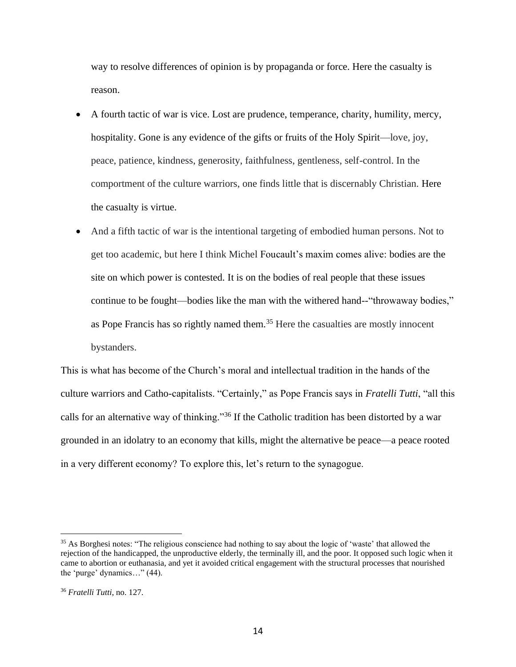way to resolve differences of opinion is by propaganda or force. Here the casualty is reason.

- A fourth tactic of war is vice. Lost are prudence, temperance, charity, humility, mercy, hospitality. Gone is any evidence of the gifts or fruits of the Holy Spirit—love, joy, peace, patience, kindness, generosity, faithfulness, gentleness, self-control. In the comportment of the culture warriors, one finds little that is discernably Christian. Here the casualty is virtue.
- And a fifth tactic of war is the intentional targeting of embodied human persons. Not to get too academic, but here I think Michel Foucault's maxim comes alive: bodies are the site on which power is contested. It is on the bodies of real people that these issues continue to be fought—bodies like the man with the withered hand--"throwaway bodies," as Pope Francis has so rightly named them.<sup>35</sup> Here the casualties are mostly innocent bystanders.

This is what has become of the Church's moral and intellectual tradition in the hands of the culture warriors and Catho-capitalists. "Certainly," as Pope Francis says in *Fratelli Tutti*, "all this calls for an alternative way of thinking."<sup>36</sup> If the Catholic tradition has been distorted by a war grounded in an idolatry to an economy that kills, might the alternative be peace—a peace rooted in a very different economy? To explore this, let's return to the synagogue.

<sup>&</sup>lt;sup>35</sup> As Borghesi notes: "The religious conscience had nothing to say about the logic of 'waste' that allowed the rejection of the handicapped, the unproductive elderly, the terminally ill, and the poor. It opposed such logic when it came to abortion or euthanasia, and yet it avoided critical engagement with the structural processes that nourished the 'purge' dynamics…" (44).

<sup>36</sup> *Fratelli Tutti*, no. 127.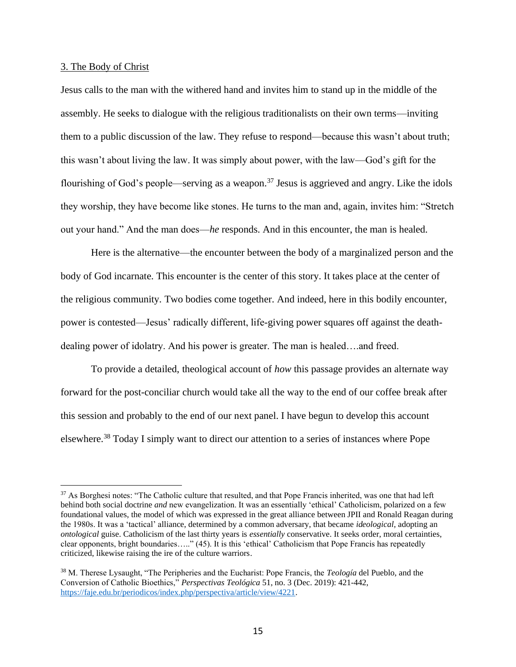### 3. The Body of Christ

Jesus calls to the man with the withered hand and invites him to stand up in the middle of the assembly. He seeks to dialogue with the religious traditionalists on their own terms—inviting them to a public discussion of the law. They refuse to respond—because this wasn't about truth; this wasn't about living the law. It was simply about power, with the law—God's gift for the flourishing of God's people—serving as a weapon.<sup>37</sup> Jesus is aggrieved and angry. Like the idols they worship, they have become like stones. He turns to the man and, again, invites him: "Stretch out your hand." And the man does—*he* responds. And in this encounter, the man is healed.

Here is the alternative—the encounter between the body of a marginalized person and the body of God incarnate. This encounter is the center of this story. It takes place at the center of the religious community. Two bodies come together. And indeed, here in this bodily encounter, power is contested—Jesus' radically different, life-giving power squares off against the deathdealing power of idolatry. And his power is greater. The man is healed….and freed.

To provide a detailed, theological account of *how* this passage provides an alternate way forward for the post-conciliar church would take all the way to the end of our coffee break after this session and probably to the end of our next panel. I have begun to develop this account elsewhere.<sup>38</sup> Today I simply want to direct our attention to a series of instances where Pope

<sup>&</sup>lt;sup>37</sup> As Borghesi notes: "The Catholic culture that resulted, and that Pope Francis inherited, was one that had left behind both social doctrine *and* new evangelization. It was an essentially 'ethical' Catholicism, polarized on a few foundational values, the model of which was expressed in the great alliance between JPII and Ronald Reagan during the 1980s. It was a 'tactical' alliance, determined by a common adversary, that became *ideological*, adopting an *ontological* guise. Catholicism of the last thirty years is *essentially* conservative. It seeks order, moral certainties, clear opponents, bright boundaries….." (45). It is this 'ethical' Catholicism that Pope Francis has repeatedly criticized, likewise raising the ire of the culture warriors.

<sup>38</sup> M. Therese Lysaught, "The Peripheries and the Eucharist: Pope Francis, the *Teología* del Pueblo, and the Conversion of Catholic Bioethics," *Perspectivas Teológica* 51, no. 3 (Dec. 2019): 421-442, [https://faje.edu.br/periodicos/index.php/perspectiva/article/view/4221.](https://faje.edu.br/periodicos/index.php/perspectiva/article/view/4221)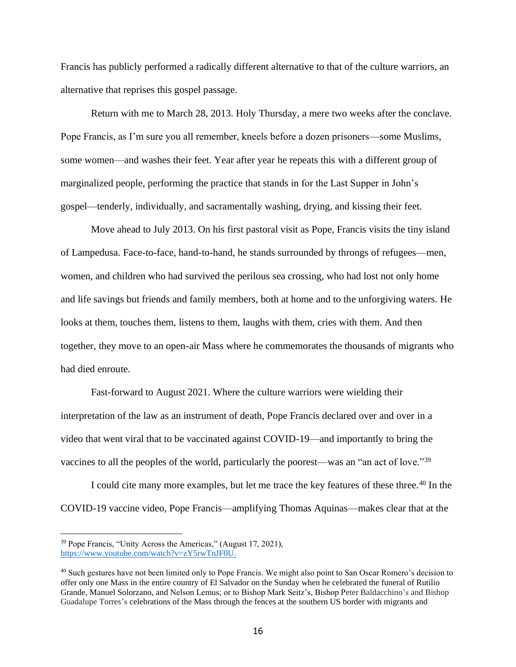Francis has publicly performed a radically different alternative to that of the culture warriors, an alternative that reprises this gospel passage.

Return with me to March 28, 2013. Holy Thursday, a mere two weeks after the conclave. Pope Francis, as I'm sure you all remember, kneels before a dozen prisoners—some Muslims, some women—and washes their feet. Year after year he repeats this with a different group of marginalized people, performing the practice that stands in for the Last Supper in John's gospel—tenderly, individually, and sacramentally washing, drying, and kissing their feet.

Move ahead to July 2013. On his first pastoral visit as Pope, Francis visits the tiny island of Lampedusa. Face-to-face, hand-to-hand, he stands surrounded by throngs of refugees—men, women, and children who had survived the perilous sea crossing, who had lost not only home and life savings but friends and family members, both at home and to the unforgiving waters. He looks at them, touches them, listens to them, laughs with them, cries with them. And then together, they move to an open-air Mass where he commemorates the thousands of migrants who had died enroute.

Fast-forward to August 2021. Where the culture warriors were wielding their interpretation of the law as an instrument of death, Pope Francis declared over and over in a video that went viral that to be vaccinated against COVID-19—and importantly to bring the vaccines to all the peoples of the world, particularly the poorest—was an "an act of love."<sup>39</sup>

I could cite many more examples, but let me trace the key features of these three.<sup>40</sup> In the COVID-19 vaccine video, Pope Francis—amplifying Thomas Aquinas—makes clear that at the

<sup>39</sup> Pope Francis, "Unity Across the Americas," (August 17, 2021), [https://www.youtube.com/watch?v=zY5rwTnJF0U.](https://www.youtube.com/watch?v=zY5rwTnJF0U)

<sup>&</sup>lt;sup>40</sup> Such gestures have not been limited only to Pope Francis. We might also point to San Oscar Romero's decision to offer only one Mass in the entire country of El Salvador on the Sunday when he celebrated the funeral of Rutilio Grande, Manuel Solorzano, and Nelson Lemus; or to Bishop Mark Seitz's, Bishop Peter Baldacchino's and Bishop Guadalupe Torres's celebrations of the Mass through the fences at the southern US border with migrants and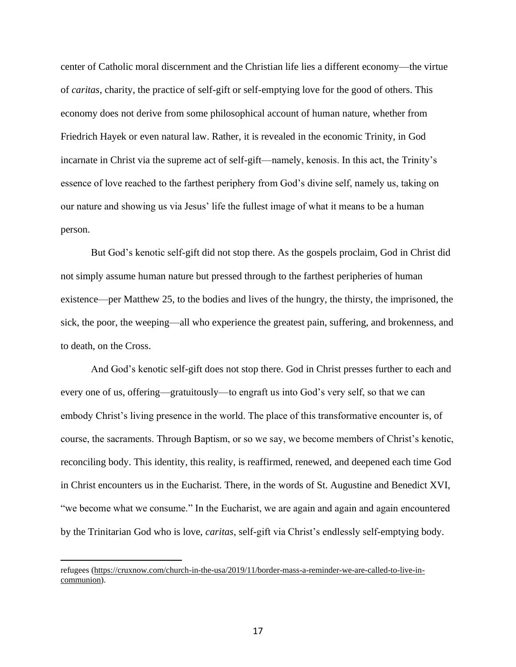center of Catholic moral discernment and the Christian life lies a different economy—the virtue of *caritas*, charity, the practice of self-gift or self-emptying love for the good of others. This economy does not derive from some philosophical account of human nature, whether from Friedrich Hayek or even natural law. Rather, it is revealed in the economic Trinity, in God incarnate in Christ via the supreme act of self-gift—namely, kenosis. In this act, the Trinity's essence of love reached to the farthest periphery from God's divine self, namely us, taking on our nature and showing us via Jesus' life the fullest image of what it means to be a human person.

But God's kenotic self-gift did not stop there. As the gospels proclaim, God in Christ did not simply assume human nature but pressed through to the farthest peripheries of human existence—per Matthew 25, to the bodies and lives of the hungry, the thirsty, the imprisoned, the sick, the poor, the weeping—all who experience the greatest pain, suffering, and brokenness, and to death, on the Cross.

And God's kenotic self-gift does not stop there. God in Christ presses further to each and every one of us, offering—gratuitously—to engraft us into God's very self, so that we can embody Christ's living presence in the world. The place of this transformative encounter is, of course, the sacraments. Through Baptism, or so we say, we become members of Christ's kenotic, reconciling body. This identity, this reality, is reaffirmed, renewed, and deepened each time God in Christ encounters us in the Eucharist. There, in the words of St. Augustine and Benedict XVI, "we become what we consume." In the Eucharist, we are again and again and again encountered by the Trinitarian God who is love, *caritas*, self-gift via Christ's endlessly self-emptying body.

refugees [\(https://cruxnow.com/church-in-the-usa/2019/11/border-mass-a-reminder-we-are-called-to-live-in](https://cruxnow.com/church-in-the-usa/2019/11/border-mass-a-reminder-we-are-called-to-live-in-communion)[communion\)](https://cruxnow.com/church-in-the-usa/2019/11/border-mass-a-reminder-we-are-called-to-live-in-communion).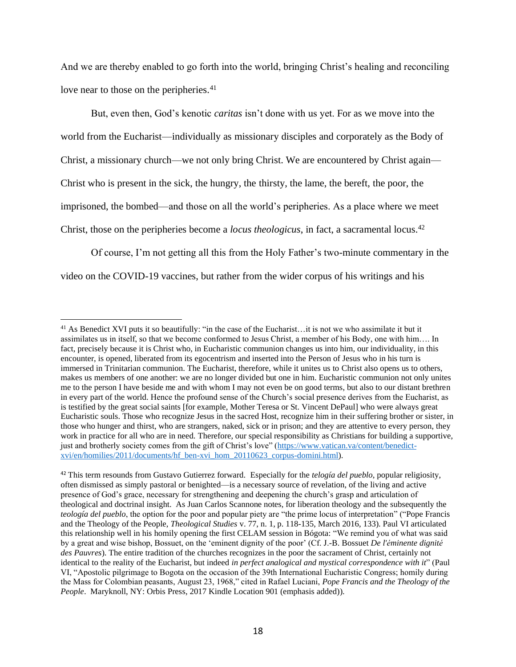And we are thereby enabled to go forth into the world, bringing Christ's healing and reconciling love near to those on the peripheries.<sup>41</sup>

But, even then, God's kenotic *caritas* isn't done with us yet. For as we move into the world from the Eucharist—individually as missionary disciples and corporately as the Body of Christ, a missionary church—we not only bring Christ. We are encountered by Christ again— Christ who is present in the sick, the hungry, the thirsty, the lame, the bereft, the poor, the imprisoned, the bombed—and those on all the world's peripheries. As a place where we meet Christ, those on the peripheries become a *locus theologicus*, in fact, a sacramental locus.<sup>42</sup>

Of course, I'm not getting all this from the Holy Father's two-minute commentary in the video on the COVID-19 vaccines, but rather from the wider corpus of his writings and his

<sup>&</sup>lt;sup>41</sup> As Benedict XVI puts it so beautifully: "in the case of the Eucharist...it is not we who assimilate it but it assimilates us in itself, so that we become conformed to Jesus Christ, a member of his Body, one with him…. In fact, precisely because it is Christ who, in Eucharistic communion changes us into him, our individuality, in this encounter, is opened, liberated from its egocentrism and inserted into the Person of Jesus who in his turn is immersed in Trinitarian communion. The Eucharist, therefore, while it unites us to Christ also opens us to others, makes us members of one another: we are no longer divided but one in him. Eucharistic communion not only unites me to the person I have beside me and with whom I may not even be on good terms, but also to our distant brethren in every part of the world. Hence the profound sense of the Church's social presence derives from the Eucharist, as is testified by the great social saints [for example, Mother Teresa or St. Vincent DePaul] who were always great Eucharistic souls. Those who recognize Jesus in the sacred Host, recognize him in their suffering brother or sister, in those who hunger and thirst, who are strangers, naked, sick or in prison; and they are attentive to every person, they work in practice for all who are in need. Therefore, our special responsibility as Christians for building a supportive, just and brotherly society comes from the gift of Christ's love" [\(https://www.vatican.va/content/benedict](https://www.vatican.va/content/benedict-xvi/en/homilies/2011/documents/hf_ben-xvi_hom_20110623_corpus-domini.html)[xvi/en/homilies/2011/documents/hf\\_ben-xvi\\_hom\\_20110623\\_corpus-domini.html\)](https://www.vatican.va/content/benedict-xvi/en/homilies/2011/documents/hf_ben-xvi_hom_20110623_corpus-domini.html).

<sup>42</sup> This term resounds from Gustavo Gutierrez forward. Especially for the *telogía del pueblo*, popular religiosity, often dismissed as simply pastoral or benighted—is a necessary source of revelation, of the living and active presence of God's grace, necessary for strengthening and deepening the church's grasp and articulation of theological and doctrinal insight. As Juan Carlos Scannone notes, for liberation theology and the subsequently the *teología del pueblo*, the option for the poor and popular piety are "the prime locus of interpretation" ("Pope Francis and the Theology of the People, *Theological Studies* v. 77, n. 1, p. 118-135, March 2016, 133). Paul VI articulated this relationship well in his homily opening the first CELAM session in Bógota: "We remind you of what was said by a great and wise bishop, Bossuet, on the 'eminent dignity of the poor' (Cf. J.-B. Bossuet *De l'éminente dignité des Pauvres*). The entire tradition of the churches recognizes in the poor the sacrament of Christ, certainly not identical to the reality of the Eucharist, but indeed *in perfect analogical and mystical correspondence with it*" (Paul VI, "Apostolic pilgrimage to Bogota on the occasion of the 39th International Eucharistic Congress; homily during the Mass for Colombian peasants, August 23, 1968," cited in Rafael Luciani, *Pope Francis and the Theology of the People*. Maryknoll, NY: Orbis Press, 2017 Kindle Location 901 (emphasis added)).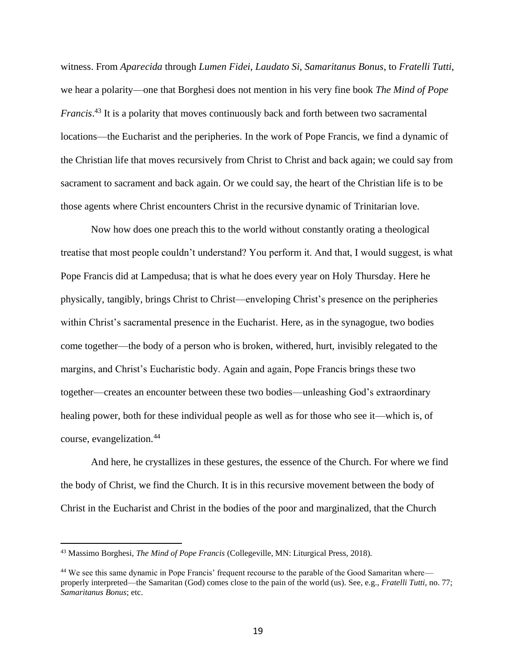witness. From *Aparecida* through *Lumen Fidei*, *Laudato Si*, *Samaritanus Bonus*, to *Fratelli Tutti*, we hear a polarity—one that Borghesi does not mention in his very fine book *The Mind of Pope Francis*. <sup>43</sup> It is a polarity that moves continuously back and forth between two sacramental locations—the Eucharist and the peripheries. In the work of Pope Francis, we find a dynamic of the Christian life that moves recursively from Christ to Christ and back again; we could say from sacrament to sacrament and back again. Or we could say, the heart of the Christian life is to be those agents where Christ encounters Christ in the recursive dynamic of Trinitarian love.

Now how does one preach this to the world without constantly orating a theological treatise that most people couldn't understand? You perform it. And that, I would suggest, is what Pope Francis did at Lampedusa; that is what he does every year on Holy Thursday. Here he physically, tangibly, brings Christ to Christ—enveloping Christ's presence on the peripheries within Christ's sacramental presence in the Eucharist. Here, as in the synagogue, two bodies come together—the body of a person who is broken, withered, hurt, invisibly relegated to the margins, and Christ's Eucharistic body. Again and again, Pope Francis brings these two together—creates an encounter between these two bodies—unleashing God's extraordinary healing power, both for these individual people as well as for those who see it—which is, of course, evangelization.<sup>44</sup>

And here, he crystallizes in these gestures, the essence of the Church. For where we find the body of Christ, we find the Church. It is in this recursive movement between the body of Christ in the Eucharist and Christ in the bodies of the poor and marginalized, that the Church

<sup>43</sup> Massimo Borghesi, *The Mind of Pope Francis* (Collegeville, MN: Liturgical Press, 2018).

<sup>&</sup>lt;sup>44</sup> We see this same dynamic in Pope Francis' frequent recourse to the parable of the Good Samaritan where properly interpreted—the Samaritan (God) comes close to the pain of the world (us). See, e.g., *Fratelli Tutti*, no. 77; *Samaritanus Bonus*; etc.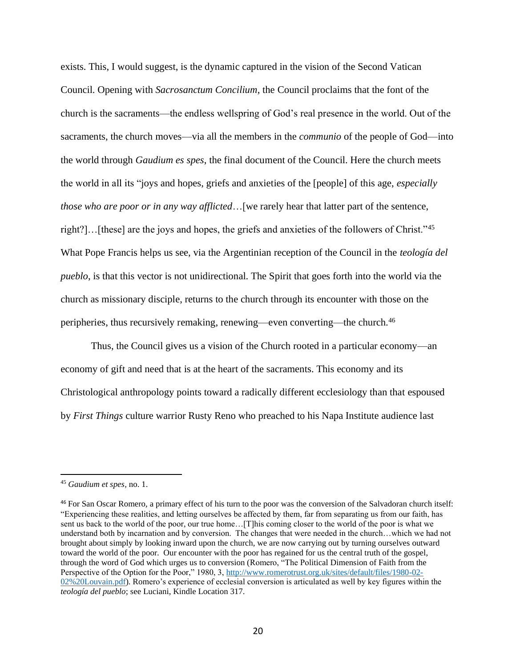exists. This, I would suggest, is the dynamic captured in the vision of the Second Vatican Council. Opening with *Sacrosanctum Concilium*, the Council proclaims that the font of the church is the sacraments—the endless wellspring of God's real presence in the world. Out of the sacraments, the church moves—via all the members in the *communio* of the people of God—into the world through *Gaudium es spes*, the final document of the Council. Here the church meets the world in all its "joys and hopes, griefs and anxieties of the [people] of this age, *especially those who are poor or in any way afflicted*...[we rarely hear that latter part of the sentence, right?]…[these] are the joys and hopes, the griefs and anxieties of the followers of Christ."<sup>45</sup> What Pope Francis helps us see, via the Argentinian reception of the Council in the *teología del pueblo*, is that this vector is not unidirectional. The Spirit that goes forth into the world via the church as missionary disciple, returns to the church through its encounter with those on the peripheries, thus recursively remaking, renewing—even converting—the church.<sup>46</sup>

Thus, the Council gives us a vision of the Church rooted in a particular economy—an economy of gift and need that is at the heart of the sacraments. This economy and its Christological anthropology points toward a radically different ecclesiology than that espoused by *First Things* culture warrior Rusty Reno who preached to his Napa Institute audience last

<sup>45</sup> *Gaudium et spes,* no. 1.

<sup>46</sup> For San Oscar Romero, a primary effect of his turn to the poor was the conversion of the Salvadoran church itself: "Experiencing these realities, and letting ourselves be affected by them, far from separating us from our faith, has sent us back to the world of the poor, our true home... [T]his coming closer to the world of the poor is what we understand both by incarnation and by conversion. The changes that were needed in the church…which we had not brought about simply by looking inward upon the church, we are now carrying out by turning ourselves outward toward the world of the poor. Our encounter with the poor has regained for us the central truth of the gospel, through the word of God which urges us to conversion (Romero, "The Political Dimension of Faith from the Perspective of the Option for the Poor," 1980, 3, [http://www.romerotrust.org.uk/sites/default/files/1980-02-](http://www.romerotrust.org.uk/sites/default/files/1980-02-02%20Louvain.pdf) [02%20Louvain.pdf\)](http://www.romerotrust.org.uk/sites/default/files/1980-02-02%20Louvain.pdf). Romero's experience of ecclesial conversion is articulated as well by key figures within the *teología del pueblo*; see Luciani, Kindle Location 317.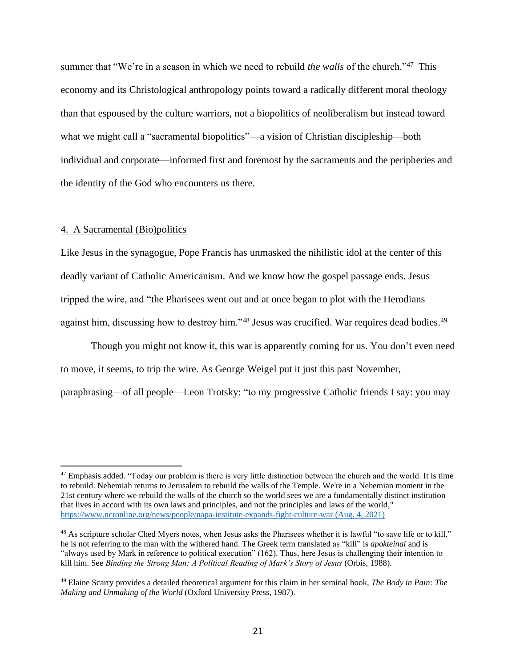summer that "We're in a season in which we need to rebuild *the walls* of the church."<sup>47</sup> This economy and its Christological anthropology points toward a radically different moral theology than that espoused by the culture warriors, not a biopolitics of neoliberalism but instead toward what we might call a "sacramental biopolitics"—a vision of Christian discipleship—both individual and corporate—informed first and foremost by the sacraments and the peripheries and the identity of the God who encounters us there.

## 4. A Sacramental (Bio)politics

Like Jesus in the synagogue, Pope Francis has unmasked the nihilistic idol at the center of this deadly variant of Catholic Americanism. And we know how the gospel passage ends. Jesus tripped the wire, and "the Pharisees went out and at once began to plot with the Herodians against him, discussing how to destroy him."<sup>48</sup> Jesus was crucified. War requires dead bodies.<sup>49</sup>

Though you might not know it, this war is apparently coming for us. You don't even need to move, it seems, to trip the wire. As George Weigel put it just this past November, paraphrasing—of all people—Leon Trotsky: "to my progressive Catholic friends I say: you may

 $47$  Emphasis added. "Today our problem is there is very little distinction between the church and the world. It is time to rebuild. Nehemiah returns to Jerusalem to rebuild the walls of the Temple. We're in a Nehemian moment in the 21st century where we rebuild the walls of the church so the world sees we are a fundamentally distinct institution that lives in accord with its own laws and principles, and not the principles and laws of the world," <https://www.ncronline.org/news/people/napa-institute-expands-fight-culture-war> (Aug. 4, 2021)

<sup>&</sup>lt;sup>48</sup> As scripture scholar Ched Myers notes, when Jesus asks the Pharisees whether it is lawful "to save life or to kill," he is not referring to the man with the withered hand. The Greek term translated as "kill" is *apokteinai* and is "always used by Mark in reference to political execution" (162). Thus, here Jesus is challenging their intention to kill him. See *Binding the Strong Man: A Political Reading of Mark's Story of Jesus* (Orbis, 1988).

<sup>49</sup> Elaine Scarry provides a detailed theoretical argument for this claim in her seminal book, *The Body in Pain: The Making and Unmaking of the World* (Oxford University Press, 1987).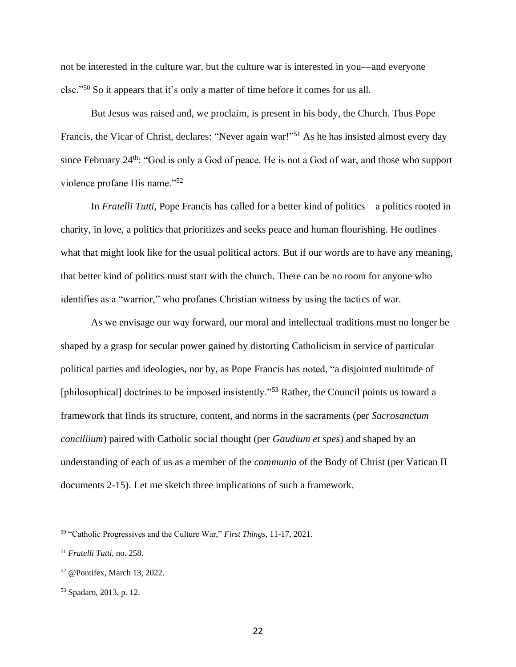not be interested in the culture war, but the culture war is interested in you—and everyone else."<sup>50</sup> So it appears that it's only a matter of time before it comes for us all.

But Jesus was raised and, we proclaim, is present in his body, the Church. Thus Pope Francis, the Vicar of Christ, declares: "Never again war!"<sup>51</sup> As he has insisted almost every day since February 24<sup>th</sup>: "God is only a God of peace. He is not a God of war, and those who support violence profane His name."<sup>52</sup>

In *Fratelli Tutti*, Pope Francis has called for a better kind of politics—a politics rooted in charity, in love, a politics that prioritizes and seeks peace and human flourishing. He outlines what that might look like for the usual political actors. But if our words are to have any meaning, that better kind of politics must start with the church. There can be no room for anyone who identifies as a "warrior," who profanes Christian witness by using the tactics of war.

As we envisage our way forward, our moral and intellectual traditions must no longer be shaped by a grasp for secular power gained by distorting Catholicism in service of particular political parties and ideologies, nor by, as Pope Francis has noted, "a disjointed multitude of [philosophical] doctrines to be imposed insistently."<sup>53</sup> Rather, the Council points us toward a framework that finds its structure, content, and norms in the sacraments (per *Sacrosanctum conciliium*) paired with Catholic social thought (per *Gaudium et spes*) and shaped by an understanding of each of us as a member of the *communio* of the Body of Christ (per Vatican II documents 2-15). Let me sketch three implications of such a framework.

<sup>50</sup> "Catholic Progressives and the Culture War," *First Things*, 11-17, 2021.

<sup>51</sup> *Fratelli Tutti*, no. 258.

<sup>52</sup> @Pontifex, March 13, 2022.

<sup>53</sup> Spadaro, 2013, p. 12.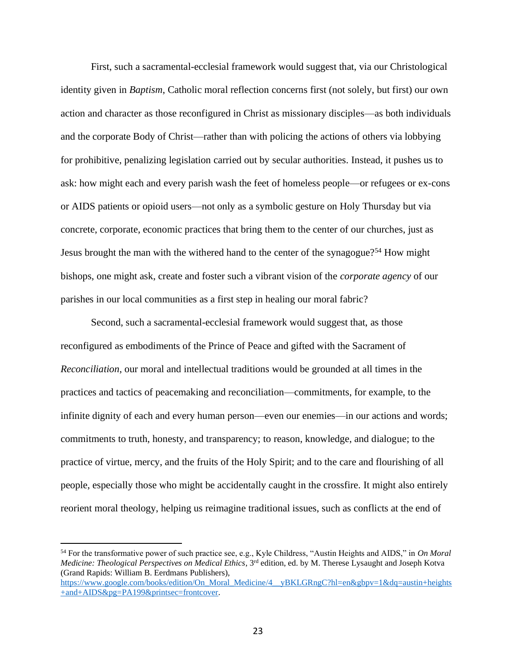First, such a sacramental-ecclesial framework would suggest that, via our Christological identity given in *Baptism*, Catholic moral reflection concerns first (not solely, but first) our own action and character as those reconfigured in Christ as missionary disciples—as both individuals and the corporate Body of Christ—rather than with policing the actions of others via lobbying for prohibitive, penalizing legislation carried out by secular authorities. Instead, it pushes us to ask: how might each and every parish wash the feet of homeless people—or refugees or ex-cons or AIDS patients or opioid users—not only as a symbolic gesture on Holy Thursday but via concrete, corporate, economic practices that bring them to the center of our churches, just as Jesus brought the man with the withered hand to the center of the synagogue?<sup>54</sup> How might bishops, one might ask, create and foster such a vibrant vision of the *corporate agency* of our parishes in our local communities as a first step in healing our moral fabric?

Second, such a sacramental-ecclesial framework would suggest that, as those reconfigured as embodiments of the Prince of Peace and gifted with the Sacrament of *Reconciliation*, our moral and intellectual traditions would be grounded at all times in the practices and tactics of peacemaking and reconciliation—commitments, for example, to the infinite dignity of each and every human person—even our enemies—in our actions and words; commitments to truth, honesty, and transparency; to reason, knowledge, and dialogue; to the practice of virtue, mercy, and the fruits of the Holy Spirit; and to the care and flourishing of all people, especially those who might be accidentally caught in the crossfire. It might also entirely reorient moral theology, helping us reimagine traditional issues, such as conflicts at the end of

<sup>54</sup> For the transformative power of such practice see, e.g., Kyle Childress, "Austin Heights and AIDS," in *On Moral Medicine: Theological Perspectives on Medical Ethics*, 3rd edition, ed. by M. Therese Lysaught and Joseph Kotva (Grand Rapids: William B. Eerdmans Publishers),

[https://www.google.com/books/edition/On\\_Moral\\_Medicine/4\\_\\_yBKLGRngC?hl=en&gbpv=1&dq=austin+heights](https://www.google.com/books/edition/On_Moral_Medicine/4__yBKLGRngC?hl=en&gbpv=1&dq=austin+heights+and+AIDS&pg=PA199&printsec=frontcover) [+and+AIDS&pg=PA199&printsec=frontcover.](https://www.google.com/books/edition/On_Moral_Medicine/4__yBKLGRngC?hl=en&gbpv=1&dq=austin+heights+and+AIDS&pg=PA199&printsec=frontcover)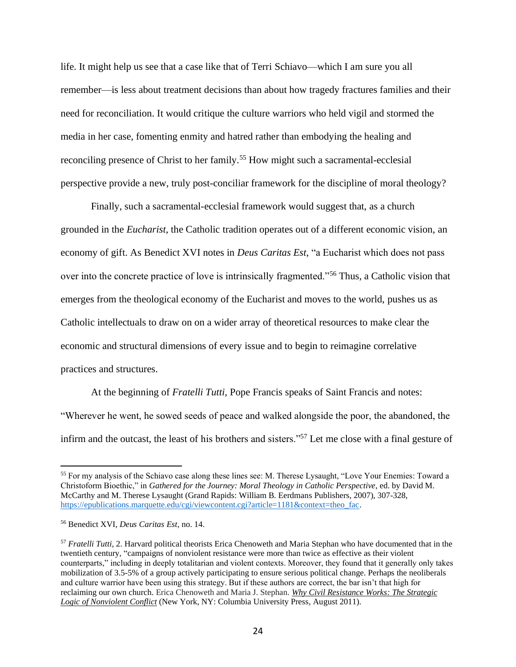life. It might help us see that a case like that of Terri Schiavo—which I am sure you all remember—is less about treatment decisions than about how tragedy fractures families and their need for reconciliation. It would critique the culture warriors who held vigil and stormed the media in her case, fomenting enmity and hatred rather than embodying the healing and reconciling presence of Christ to her family.<sup>55</sup> How might such a sacramental-ecclesial perspective provide a new, truly post-conciliar framework for the discipline of moral theology?

Finally, such a sacramental-ecclesial framework would suggest that, as a church grounded in the *Eucharist*, the Catholic tradition operates out of a different economic vision, an economy of gift. As Benedict XVI notes in *Deus Caritas Est*, "a Eucharist which does not pass over into the concrete practice of love is intrinsically fragmented."<sup>56</sup> Thus, a Catholic vision that emerges from the theological economy of the Eucharist and moves to the world, pushes us as Catholic intellectuals to draw on on a wider array of theoretical resources to make clear the economic and structural dimensions of every issue and to begin to reimagine correlative practices and structures.

At the beginning of *Fratelli Tutti,* Pope Francis speaks of Saint Francis and notes: "Wherever he went, he sowed seeds of peace and walked alongside the poor, the abandoned, the infirm and the outcast, the least of his brothers and sisters."<sup>57</sup> Let me close with a final gesture of

<sup>55</sup> For my analysis of the Schiavo case along these lines see: M. Therese Lysaught, "Love Your Enemies: Toward a Christoform Bioethic," in *Gathered for the Journey: Moral Theology in Catholic Perspective*, ed. by David M. McCarthy and M. Therese Lysaught (Grand Rapids: William B. Eerdmans Publishers, 2007), 307-328, [https://epublications.marquette.edu/cgi/viewcontent.cgi?article=1181&context=theo\\_fac.](https://epublications.marquette.edu/cgi/viewcontent.cgi?article=1181&context=theo_fac)

<sup>56</sup> Benedict XVI, *Deus Caritas Est*, no. 14.

<sup>57</sup> *Fratelli Tutti*, 2. Harvard political theorists Erica Chenoweth and Maria Stephan who have documented that in the twentieth century, "campaigns of nonviolent resistance were more than twice as effective as their violent counterparts," including in deeply totalitarian and violent contexts. Moreover, they found that it generally only takes mobilization of 3.5-5% of a group actively participating to ensure serious political change. Perhaps the neoliberals and culture warrior have been using this strategy. But if these authors are correct, the bar isn't that high for reclaiming our own church. Erica Chenoweth and Maria J. Stephan. *Why Civil [Resistance](http://cup.columbia.edu/book/978-0-231-15682-0/why-civil-resistance-works) Works: The Strategic Logic of [Nonviolent](http://cup.columbia.edu/book/978-0-231-15682-0/why-civil-resistance-works) Conflict* (New York, NY: Columbia University Press, August 2011).